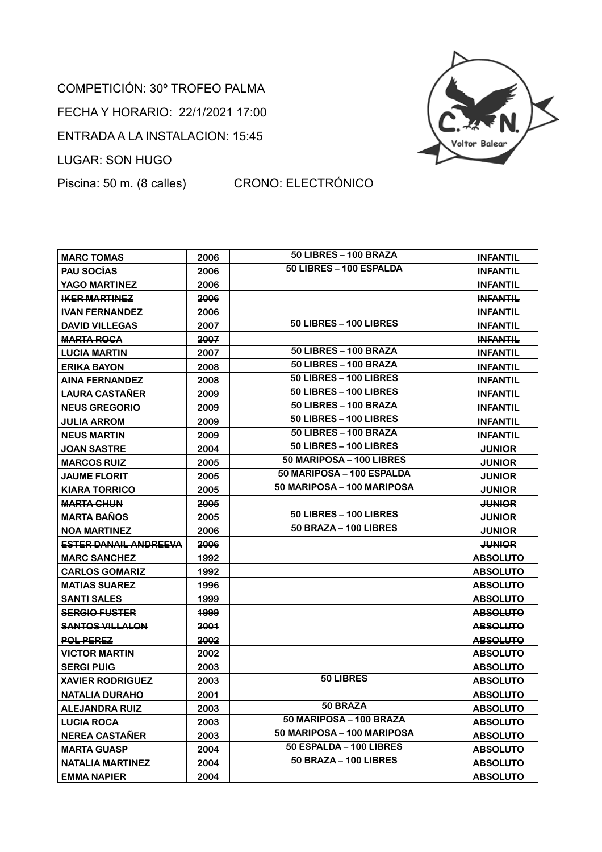## COMPETICIÓN: 30º TROFEO PALMA FECHA Y HORARIO: 22/1/2021 17:00 ENTRADA A LA INSTALACION: 15:45 LUGAR: SON HUGO



## Piscina: 50 m. (8 calles) CRONO: ELECTRÓNICO

| <b>MARC TOMAS</b>            | 2006 | 50 LIBRES - 100 BRAZA         | <b>INFANTIL</b> |
|------------------------------|------|-------------------------------|-----------------|
| <b>PAU SOCIAS</b>            | 2006 | 50 LIBRES - 100 ESPALDA       | <b>INFANTIL</b> |
| <b>YAGO MARTINEZ</b>         | 2006 |                               | <b>INFANTIL</b> |
| <b>IKER MARTINEZ</b>         | 2006 |                               | <b>INFANTIL</b> |
| <b>IVAN FERNANDEZ</b>        | 2006 |                               | <b>INFANTIL</b> |
| <b>DAVID VILLEGAS</b>        | 2007 | 50 LIBRES - 100 LIBRES        | <b>INFANTIL</b> |
| <b>MARTA ROCA</b>            | 2007 |                               | <b>INFANTIL</b> |
| <b>LUCIA MARTIN</b>          | 2007 | 50 LIBRES - 100 BRAZA         | <b>INFANTIL</b> |
| <b>ERIKA BAYON</b>           | 2008 | 50 LIBRES - 100 BRAZA         | <b>INFANTIL</b> |
| <b>AINA FERNANDEZ</b>        | 2008 | 50 LIBRES - 100 LIBRES        | <b>INFANTIL</b> |
| <b>LAURA CASTANER</b>        | 2009 | 50 LIBRES - 100 LIBRES        | <b>INFANTIL</b> |
| <b>NEUS GREGORIO</b>         | 2009 | 50 LIBRES - 100 BRAZA         | <b>INFANTIL</b> |
| <b>JULIA ARROM</b>           | 2009 | <b>50 LIBRES - 100 LIBRES</b> | <b>INFANTIL</b> |
| <b>NEUS MARTIN</b>           | 2009 | 50 LIBRES - 100 BRAZA         | <b>INFANTIL</b> |
| <b>JOAN SASTRE</b>           | 2004 | <b>50 LIBRES - 100 LIBRES</b> | <b>JUNIOR</b>   |
| <b>MARCOS RUIZ</b>           | 2005 | 50 MARIPOSA – 100 LIBRES      | <b>JUNIOR</b>   |
| <b>JAUME FLORIT</b>          | 2005 | 50 MARIPOSA - 100 ESPALDA     | <b>JUNIOR</b>   |
| <b>KIARA TORRICO</b>         | 2005 | 50 MARIPOSA – 100 MARIPOSA    | <b>JUNIOR</b>   |
| <b>MARTA CHUN</b>            | 2005 |                               | <b>JUNIOR</b>   |
| <b>MARTA BAÑOS</b>           | 2005 | <b>50 LIBRES - 100 LIBRES</b> | <b>JUNIOR</b>   |
| <b>NOA MARTINEZ</b>          | 2006 | 50 BRAZA - 100 LIBRES         | <b>JUNIOR</b>   |
| <b>ESTER DANAIL ANDREEVA</b> | 2006 |                               | <b>JUNIOR</b>   |
| <b>MARC SANCHEZ</b>          | 1992 |                               | <b>ABSOLUTO</b> |
| <b>CARLOS GOMARIZ</b>        | 1992 |                               | <b>ABSOLUTO</b> |
| <b>MATIAS SUAREZ</b>         | 1996 |                               | <b>ABSOLUTO</b> |
| <b>SANTI SALES</b>           | 1999 |                               | <b>ABSOLUTO</b> |
| <b>SERGIO FUSTER</b>         | 1999 |                               | <b>ABSOLUTO</b> |
| <b>SANTOS VILLALON</b>       | 2001 |                               | <b>ABSOLUTO</b> |
| <b>POL PEREZ</b>             | 2002 |                               | <b>ABSOLUTO</b> |
| <b>VICTOR MARTIN</b>         | 2002 |                               | <b>ABSOLUTO</b> |
| <b>SERGI PUIG</b>            | 2003 |                               | <b>ABSOLUTO</b> |
| <b>XAVIER RODRIGUEZ</b>      | 2003 | 50 LIBRES                     | <b>ABSOLUTO</b> |
| NATALIA DURAHO               | 2001 |                               | <b>ABSOLUTO</b> |
| <b>ALEJANDRA RUIZ</b>        | 2003 | 50 BRAZA                      | <b>ABSOLUTO</b> |
| <b>LUCIA ROCA</b>            | 2003 | 50 MARIPOSA - 100 BRAZA       | <b>ABSOLUTO</b> |
| <b>NEREA CASTAÑER</b>        | 2003 | 50 MARIPOSA - 100 MARIPOSA    | <b>ABSOLUTO</b> |
| <b>MARTA GUASP</b>           | 2004 | 50 ESPALDA - 100 LIBRES       | <b>ABSOLUTO</b> |
| <b>NATALIA MARTINEZ</b>      | 2004 | 50 BRAZA - 100 LIBRES         | <b>ABSOLUTO</b> |
| <b>EMMA NAPIER</b>           | 2004 |                               | <b>ABSOLUTO</b> |